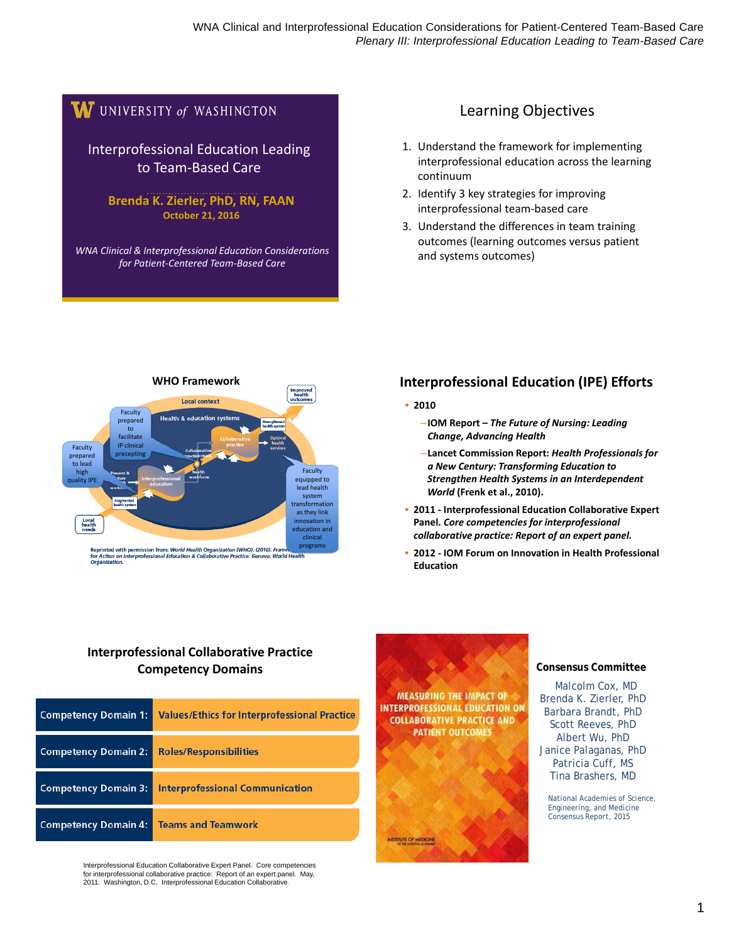## W UNIVERSITY of WASHINGTON

Interprofessional Education Leading to Team‐Based Care

**Brenda K. Zierler, PhD, RN, FAAN October 21, 2016**

*WNA Clinical & Interprofessional Education Considerations for Patient‐Centered Team‐Based Care*

#### Learning Objectives

- 1. Understand the framework for implementing interprofessional education across the learning continuum
- 2. Identify 3 key strategies for improving interprofessional team‐based care
- 3. Understand the differences in team training outcomes (learning outcomes versus patient and systems outcomes)



#### **Interprofessional Education (IPE) Efforts**

- **2010**
	- –**IOM Report –** *The Future of Nursing: Leading Change, Advancing Health*
	- –**Lancet Commission Report:** *Health Professionals for a New Century: Transforming Education to Strengthen Health Systems in an Interdependent World* **(Frenk et al., 2010).**
- **2011 ‐ Interprofessional Education Collaborative Expert Panel.** *Core competencies for interprofessional collaborative practice: Report of an expert panel.*
- **2012 ‐ IOM Forum on Innovation in Health Professional Education**

#### **Interprofessional Collaborative Practice Competency Domains**

| <b>Competency Domain 1:</b> | <b>Values/Ethics for Interprofessional Practice</b> |
|-----------------------------|-----------------------------------------------------|
| <b>Competency Domain 2:</b> | <b>Roles/Responsibilities</b>                       |
| <b>Competency Domain 3:</b> | <b>Interprofessional Communication</b>              |
| <b>Competency Domain 4:</b> | <b>Teams and Teamwork</b>                           |

Interprofessional Education Collaborative Expert Panel. Core competencies for interprofessional collaborative practice: Report of an expert panel. May, 2011. Washington, D.C. Interprofessional Education Collaborative.



#### **Consensus Committee**

**Committee Study Brenda K. Zierler, PhD** Barbara Brandt, PhD Scott Reeves, PhD Albert Wu, PhD Janice Palaganas, PhD Patricia Cuff, MS Tina Brashers, MD

> *National Academies of Science, Engineering, and Medicine Consensus Report, 2015*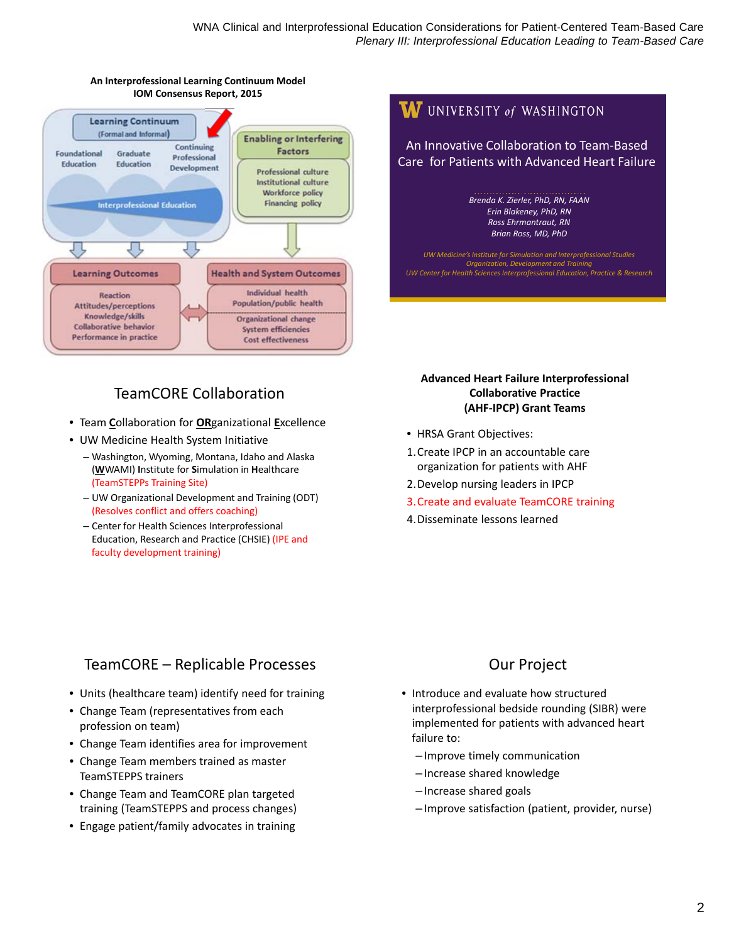

#### **An Interprofessional Learning Continuum Model IOM Consensus Report, 2015**

#### *Brenda K. Zierler, PhD, RN, FAAN Erin Blakeney, PhD, RN Ross Ehrmantraut, RN Brian Ross, MD, PhD UW Medicine's Institute for Simulation and Interprofessional Studies Organization, Development and Train UW Center for Health SciencesInterprofessional Education, Practice & Research*

An Innovative Collaboration to Team‐Based Care for Patients with Advanced Heart Failure

 $\boldsymbol{W}$  UNIVERSITY of WASHINGTON

## TeamCORE Collaboration

- Team **C**ollaboration for **OR**ganizational **E**xcellence
- UW Medicine Health System Initiative
	- Washington, Wyoming, Montana, Idaho and Alaska (**W**WAMI) **I**nstitute for **S**imulation in **H**ealthcare (TeamSTEPPs Training Site)
	- UW Organizational Development and Training (ODT) (Resolves conflict and offers coaching)
	- Center for Health Sciences Interprofessional Education, Research and Practice (CHSIE) (IPE and faculty development training)

## TeamCORE – Replicable Processes

- Units (healthcare team) identify need for training
- Change Team (representatives from each profession on team)
- Change Team identifies area for improvement
- Change Team members trained as master TeamSTEPPS trainers
- Change Team and TeamCORE plan targeted training (TeamSTEPPS and process changes)
- Engage patient/family advocates in training

#### **Advanced Heart Failure Interprofessional Collaborative Practice (AHF‐IPCP) Grant Teams**

- HRSA Grant Objectives:
- 1.Create IPCP in an accountable care organization for patients with AHF
- 2.Develop nursing leaders in IPCP
- 3.Create and evaluate TeamCORE training
- 4.Disseminate lessons learned

## Our Project

- Introduce and evaluate how structured interprofessional bedside rounding (SIBR) were implemented for patients with advanced heart failure to:
	- Improve timely communication
	- Increase shared knowledge
	- Increase shared goals
	- Improve satisfaction (patient, provider, nurse)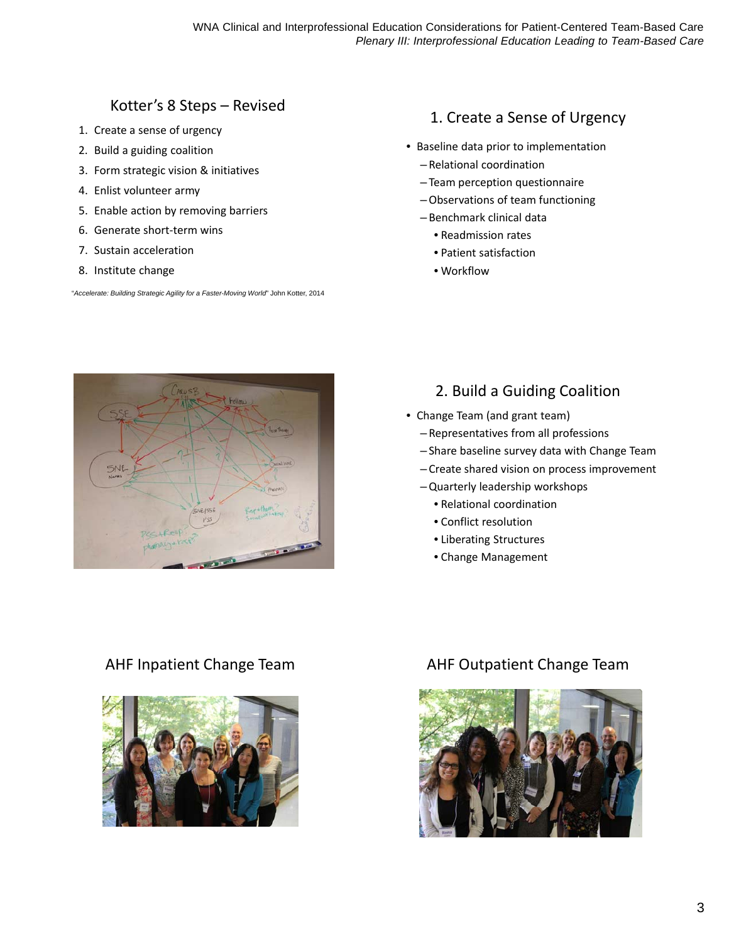## Kotter's 8 Steps – Revised

- 1. Create a sense of urgency
- 2. Build a guiding coalition
- 3. Form strategic vision & initiatives
- 4. Enlist volunteer army
- 5. Enable action by removing barriers
- 6. Generate short‐term wins
- 7. Sustain acceleration
- 8. Institute change

"*Accelerate: Building Strategic Agility for a Faster-Moving World*" John Kotter, 2014

#### 1. Create a Sense of Urgency

- Baseline data prior to implementation
	- Relational coordination
	- Team perception questionnaire
	- –Observations of team functioning
	- Benchmark clinical data
		- Readmission rates
		- Patient satisfaction
		- Workflow



#### 2. Build a Guiding Coalition

- Change Team (and grant team)
	- Representatives from all professions
	- Share baseline survey data with Change Team
	- Create shared vision on process improvement
	- –Quarterly leadership workshops
		- Relational coordination
		- Conflict resolution
		- Liberating Structures
		- Change Management



#### AHF Inpatient Change Team AHF Outpatient Change Team

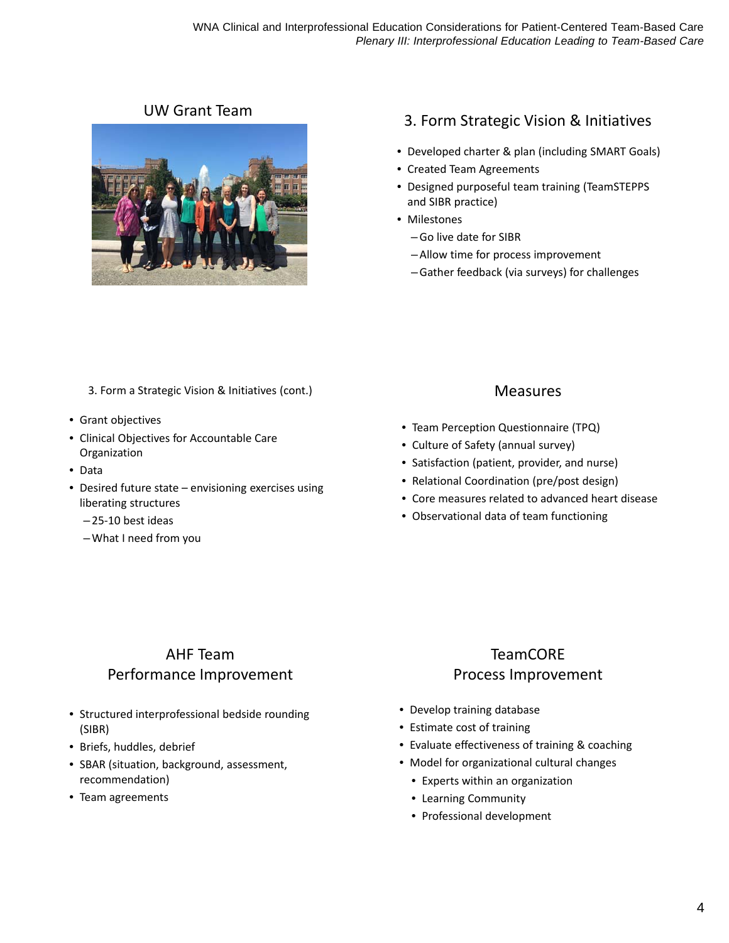

# UW Grant Team 2. Form Strategic Vision & Initiatives

- Developed charter & plan (including SMART Goals)
- Created Team Agreements
- Designed purposeful team training (TeamSTEPPS and SIBR practice)
- Milestones
	- –Go live date for SIBR
	- –Allow time for process improvement
	- –Gather feedback (via surveys) for challenges

- 3. Form a Strategic Vision & Initiatives (cont.)
- Grant objectives
- Clinical Objectives for Accountable Care Organization
- Data
- Desired future state envisioning exercises using liberating structures
	- 25‐10 best ideas
	- –What I need from you

## AHF Team Performance Improvement

- Structured interprofessional bedside rounding (SIBR)
- Briefs, huddles, debrief
- SBAR (situation, background, assessment, recommendation)
- Team agreements

#### Measures

- Team Perception Questionnaire (TPQ)
- Culture of Safety (annual survey)
- Satisfaction (patient, provider, and nurse)
- Relational Coordination (pre/post design)
- Core measures related to advanced heart disease
- Observational data of team functioning

## TeamCORE Process Improvement

- Develop training database
- Estimate cost of training
- Evaluate effectiveness of training & coaching
- Model for organizational cultural changes
	- Experts within an organization
	- Learning Community
	- Professional development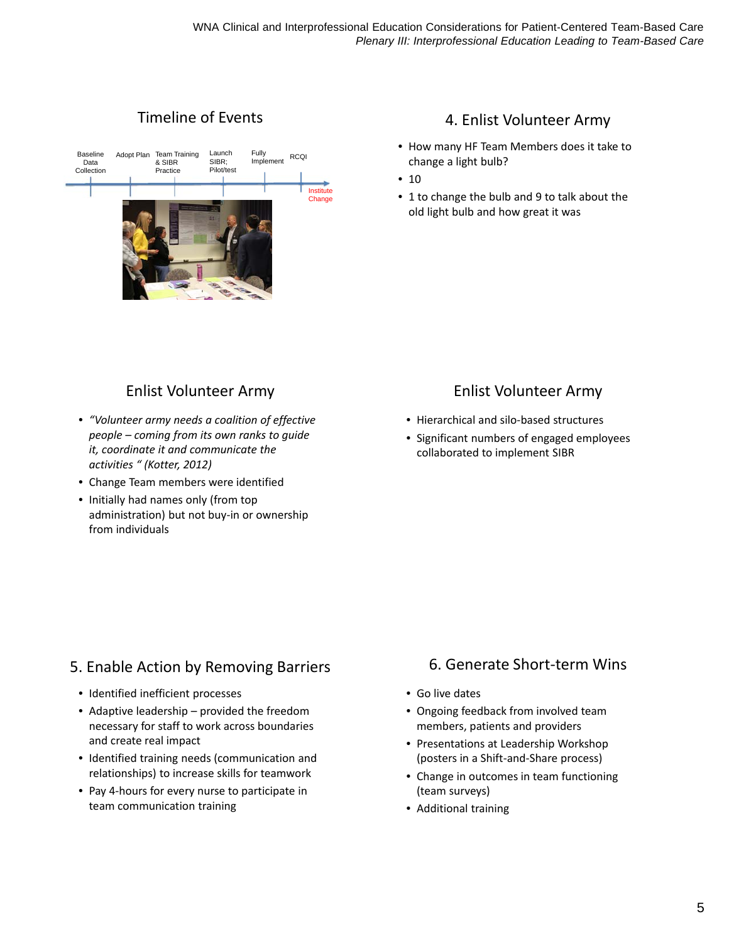## Timeline of Events



## Enlist Volunteer Army

- *"Volunteer army needs a coalition of effective people – coming from its own ranks to guide it, coordinate it and communicate the activities " (Kotter, 2012)*
- Change Team members were identified
- Initially had names only (from top administration) but not buy‐in or ownership from individuals

## 5. Enable Action by Removing Barriers

- Identified inefficient processes
- Adaptive leadership provided the freedom necessary for staff to work across boundaries and create real impact
- Identified training needs (communication and relationships) to increase skills for teamwork
- Pay 4‐hours for every nurse to participate in team communication training

## 4. Enlist Volunteer Army

- How many HF Team Members does it take to change a light bulb?
- $10$
- 1 to change the bulb and 9 to talk about the old light bulb and how great it was

## Enlist Volunteer Army

- Hierarchical and silo‐based structures
- Significant numbers of engaged employees collaborated to implement SIBR

## 6. Generate Short‐term Wins

- Go live dates
- Ongoing feedback from involved team members, patients and providers
- Presentations at Leadership Workshop (posters in a Shift‐and‐Share process)
- Change in outcomes in team functioning (team surveys)
- Additional training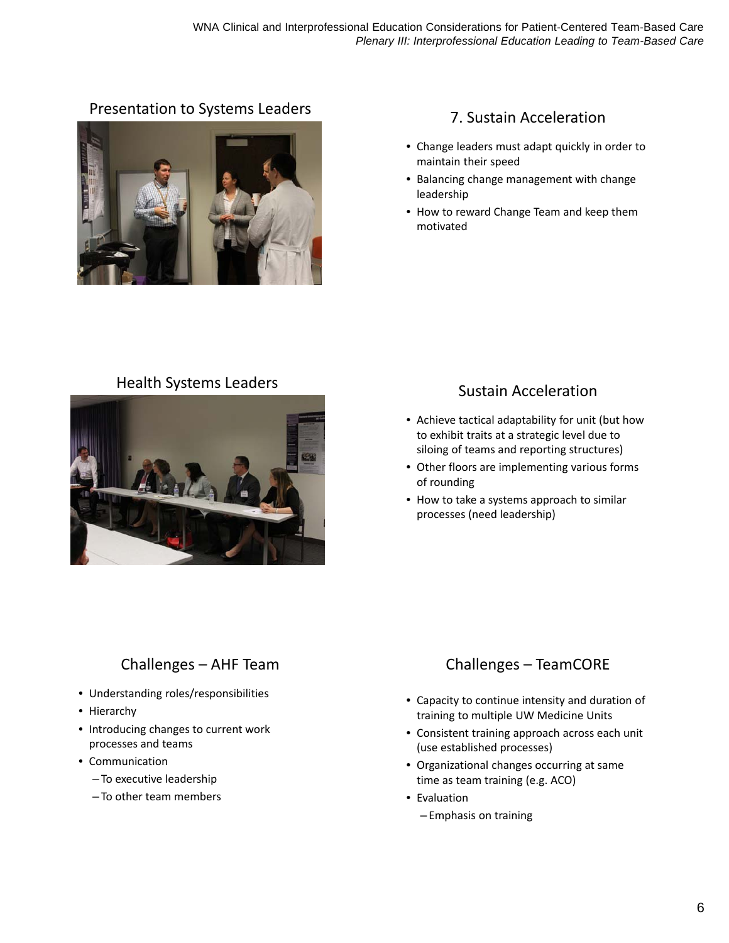# Presentation to Systems Leaders<br>
T. Sustain Acceleration



- Change leaders must adapt quickly in order to maintain their speed
- Balancing change management with change leadership
- How to reward Change Team and keep them motivated

# Health Systems Leaders Manuel Acceleration



- Achieve tactical adaptability for unit (but how to exhibit traits at a strategic level due to siloing of teams and reporting structures)
- Other floors are implementing various forms of rounding
- How to take a systems approach to similar processes (need leadership)

## Challenges – AHF Team

- Understanding roles/responsibilities
- Hierarchy
- Introducing changes to current work processes and teams
- Communication
	- To executive leadership
	- To other team members

## Challenges – TeamCORE

- Capacity to continue intensity and duration of training to multiple UW Medicine Units
- Consistent training approach across each unit (use established processes)
- Organizational changes occurring at same time as team training (e.g. ACO)
- Evaluation
	- Emphasis on training